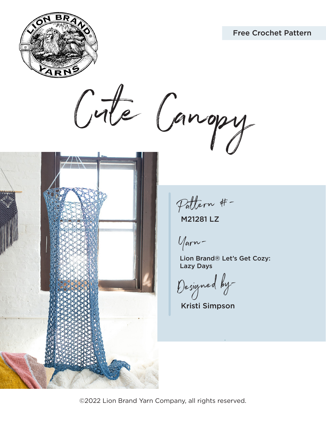



Cute Canopy



Pattern #-

M21281 LZ

Yarn-

Lion Brand® Let's Get Cozy: Lazy Days

Designed by-

Kristi Simpson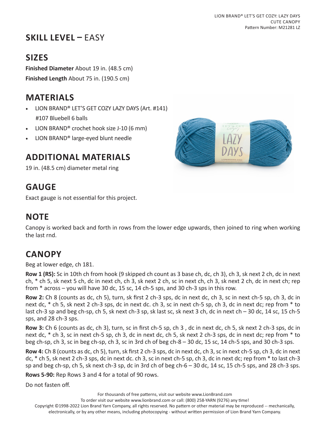# **SKILL LEVEL –** EASY

# **SIZES**

**Finished Diameter** About 19 in. (48.5 cm) **Finished Length** About 75 in. (190.5 cm)

# **MATERIALS**

- LION BRAND® LET'S GET COZY LAZY DAYS (Art. #141) #107 Bluebell 6 balls
- LION BRAND® crochet hook size J-10 (6 mm)
- LION BRAND® large-eyed blunt needle

### **ADDITIONAL MATERIALS**

19 in. (48.5 cm) diameter metal ring

## **GAUGE**

Exact gauge is not essential for this project.

### **NOTE**

Canopy is worked back and forth in rows from the lower edge upwards, then joined to ring when working the last rnd.

# **CANOPY**

Beg at lower edge, ch 181.

**Row 1 (RS):** Sc in 10th ch from hook (9 skipped ch count as 3 base ch, dc, ch 3), ch 3, sk next 2 ch, dc in next ch, \* ch 5, sk next 5 ch, dc in next ch, ch 3, sk next 2 ch, sc in next ch, ch 3, sk next 2 ch, dc in next ch; rep from  $*$  across  $-$  you will have 30 dc, 15 sc, 14 ch-5 sps, and 30 ch-3 sps in this row.

**Row 2:** Ch 8 (counts as dc, ch 5), turn, sk first 2 ch-3 sps, dc in next dc, ch 3, sc in next ch-5 sp, ch 3, dc in next dc, \* ch 5, sk next 2 ch-3 sps, dc in next dc. ch 3, sc in next ch-5 sp, ch 3, dc in next dc; rep from \* to last ch-3 sp and beg ch-sp, ch 5, sk next ch-3 sp, sk last sc, sk next 3 ch, dc in next ch – 30 dc, 14 sc, 15 ch-5 sps, and 28 ch-3 sps.

**Row 3:** Ch 6 (counts as dc, ch 3), turn, sc in first ch-5 sp, ch 3 , dc in next dc, ch 5, sk next 2 ch-3 sps, dc in next dc, \* ch 3, sc in next ch-5 sp, ch 3, dc in next dc, ch 5, sk next 2 ch-3 sps, dc in next dc; rep from \* to beg ch-sp, ch 3, sc in beg ch-sp, ch 3, sc in 3rd ch of beg ch-8 – 30 dc, 15 sc, 14 ch-5 sps, and 30 ch-3 sps.

**Row 4:** Ch 8 (counts as dc, ch 5), turn, sk first 2 ch-3 sps, dc in next dc, ch 3, sc in next ch-5 sp, ch 3, dc in next dc, \* ch 5, sk next 2 ch-3 sps, dc in next dc. ch 3, sc in next ch-5 sp, ch 3, dc in next dc; rep from \* to last ch-3 sp and beg ch-sp, ch 5, sk next ch-3 sp, dc in 3rd ch of beg ch-6 – 30 dc, 14 sc, 15 ch-5 sps, and 28 ch-3 sps.

**Rows 5-90:** Rep Rows 3 and 4 for a total of 90 rows.

Do not fasten off.

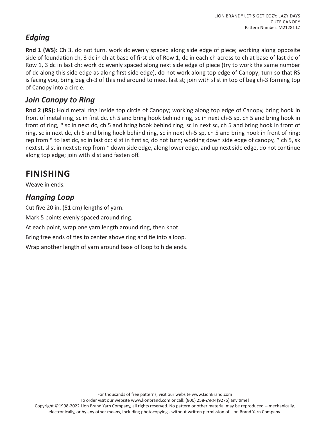#### *Edging*

**Rnd 1 (WS):** Ch 3, do not turn, work dc evenly spaced along side edge of piece; working along opposite side of foundation ch, 3 dc in ch at base of first dc of Row 1, dc in each ch across to ch at base of last dc of Row 1, 3 dc in last ch; work dc evenly spaced along next side edge of piece (try to work the same number of dc along this side edge as along first side edge), do not work along top edge of Canopy; turn so that RS is facing you, bring beg ch-3 of this rnd around to meet last st; join with sl st in top of beg ch-3 forming top of Canopy into a circle.

#### *Join Canopy to Ring*

**Rnd 2 (RS):** Hold metal ring inside top circle of Canopy; working along top edge of Canopy, bring hook in front of metal ring, sc in first dc, ch 5 and bring hook behind ring, sc in next ch-5 sp, ch 5 and bring hook in front of ring, \* sc in next dc, ch 5 and bring hook behind ring, sc in next sc, ch 5 and bring hook in front of ring, sc in next dc, ch 5 and bring hook behind ring, sc in next ch-5 sp, ch 5 and bring hook in front of ring; rep from \* to last dc, sc in last dc; sl st in first sc, do not turn; working down side edge of canopy, \* ch 5, sk next st, sl st in next st; rep from \* down side edge, along lower edge, and up next side edge, do not continue along top edge; join with sl st and fasten off.

# **FINISHING**

Weave in ends.

#### *Hanging Loop*

Cut five 20 in. (51 cm) lengths of yarn.

Mark 5 points evenly spaced around ring.

At each point, wrap one yarn length around ring, then knot.

Bring free ends of ties to center above ring and tie into a loop.

Wrap another length of yarn around base of loop to hide ends.